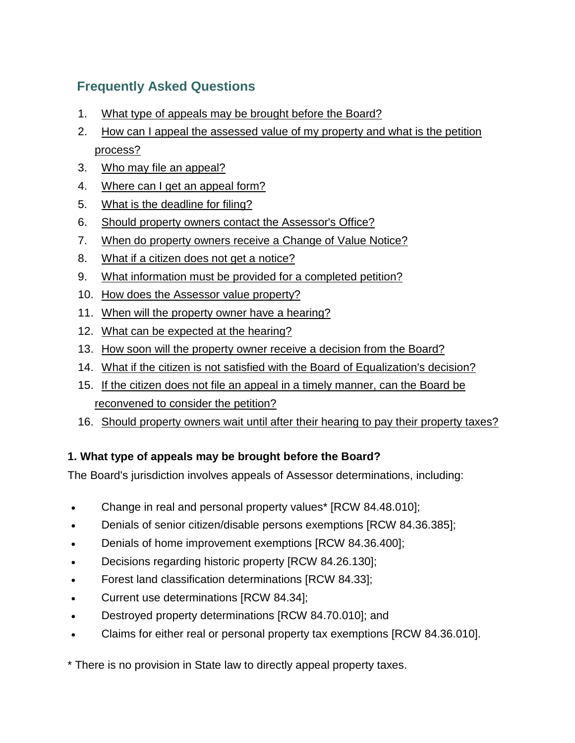# **Frequently Asked Questions**

- 1. [What type of appeals may be brought before the Board?](#page-0-0)
- 2. [How can I appeal the assessed value of my property](#page-1-0) and what is the petition [process?](#page-1-0)
- 3. [Who may file an appeal?](#page-1-1)
- 4. [Where can I get an appeal form?](#page-1-2)
- 5. [What is the deadline for filing?](#page-1-3)
- 6. [Should property owners contact the Assessor's Office?](#page-2-0)
- 7. When do property [owners receive a Change of Value Notice?](#page-2-1)
- 8. [What if a citizen does not get a notice?](#page-2-2)
- 9. [What information must be provided for a completed petition?](#page-2-3)
- 10. [How does the Assessor value property?](#page-3-0)
- 11. [When will the property owner have a hearing?](#page-3-1)
- 12. [What can be expected at the hearing?](#page-3-2)
- 13. [How soon will the property owner receive a decision from the Board?](#page-3-3)
- 14. [What if the citizen is not satisfied with the Board of Equalization's decision?](#page-3-4)
- 15. [If the citizen does not file an appeal in a timely manner, can the Board be](#page-4-0)  [reconvened to consider the petition?](#page-4-0)
- 16. [Should property owners wait until after their hearing to pay their property taxes?](#page-4-1)

## <span id="page-0-0"></span>**1. What type of appeals may be brought before the Board?**

The Board's jurisdiction involves appeals of Assessor determinations, including:

- Change in real and personal property values\* [RCW 84.48.010];
- Denials of senior citizen/disable persons exemptions [RCW 84.36.385];
- Denials of home improvement exemptions [RCW 84.36.400];
- Decisions regarding historic property [RCW 84.26.130];
- Forest land classification determinations [RCW 84.33];
- Current use determinations [RCW 84.34];
- Destroyed property determinations [RCW 84.70.010]; and
- Claims for either real or personal property tax exemptions [RCW 84.36.010].

\* There is no provision in State law to directly appeal property taxes.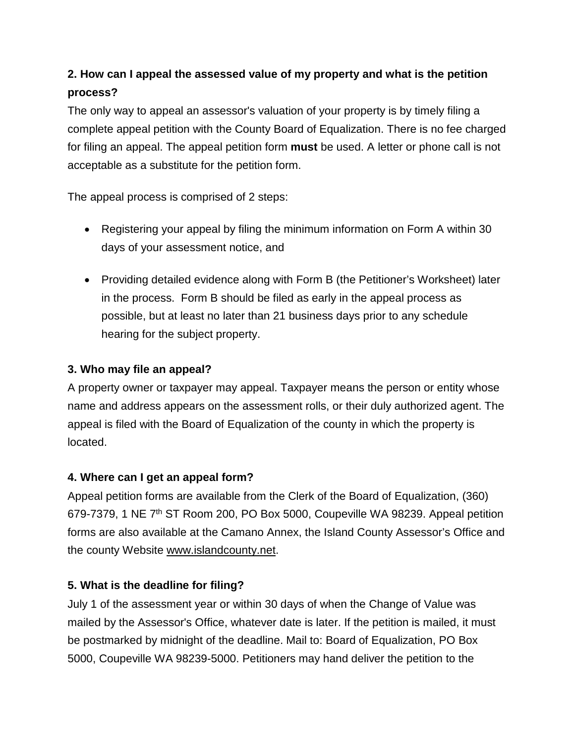# <span id="page-1-0"></span>**2. How can I appeal the assessed value of my property and what is the petition process?**

The only way to appeal an assessor's valuation of your property is by timely filing a complete appeal petition with the County Board of Equalization. There is no fee charged for filing an appeal. The appeal petition form **must** be used. A letter or phone call is not acceptable as a substitute for the petition form.

The appeal process is comprised of 2 steps:

- Registering your appeal by filing the minimum information on Form A within 30 days of your assessment notice, and
- Providing detailed evidence along with Form B (the Petitioner's Worksheet) later in the process. Form B should be filed as early in the appeal process as possible, but at least no later than 21 business days prior to any schedule hearing for the subject property.

#### <span id="page-1-1"></span>**3. Who may file an appeal?**

A property owner or taxpayer may appeal. Taxpayer means the person or entity whose name and address appears on the assessment rolls, or their duly authorized agent. The appeal is filed with the Board of Equalization of the county in which the property is located.

### <span id="page-1-2"></span>**4. Where can I get an appeal form?**

Appeal petition forms are available from the Clerk of the Board of Equalization, (360) 679-7379, 1 NE 7th ST Room 200, PO Box 5000, Coupeville WA 98239. Appeal petition forms are also available at the Camano Annex, the Island County Assessor's Office and the county Website [www.islandcounty.net.](http://www.islandcounty.net/)

### <span id="page-1-3"></span>**5. What is the deadline for filing?**

July 1 of the assessment year or within 30 days of when the Change of Value was mailed by the Assessor's Office, whatever date is later. If the petition is mailed, it must be postmarked by midnight of the deadline. Mail to: Board of Equalization, PO Box 5000, Coupeville WA 98239-5000. Petitioners may hand deliver the petition to the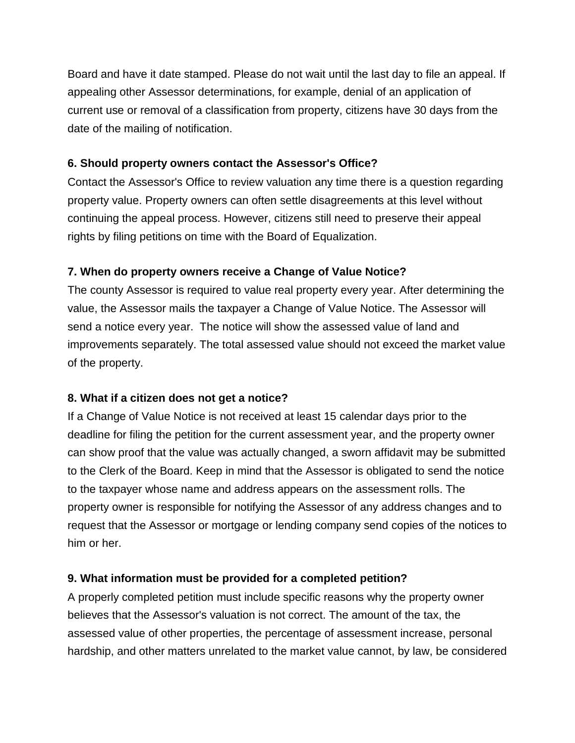Board and have it date stamped. Please do not wait until the last day to file an appeal. If appealing other Assessor determinations, for example, denial of an application of current use or removal of a classification from property, citizens have 30 days from the date of the mailing of notification.

#### <span id="page-2-0"></span>**6. Should property owners contact the Assessor's Office?**

Contact the Assessor's Office to review valuation any time there is a question regarding property value. Property owners can often settle disagreements at this level without continuing the appeal process. However, citizens still need to preserve their appeal rights by filing petitions on time with the Board of Equalization.

### <span id="page-2-1"></span>**7. When do property owners receive a Change of Value Notice?**

The county Assessor is required to value real property every year. After determining the value, the Assessor mails the taxpayer a Change of Value Notice. The Assessor will send a notice every year. The notice will show the assessed value of land and improvements separately. The total assessed value should not exceed the market value of the property.

### <span id="page-2-2"></span>**8. What if a citizen does not get a notice?**

If a Change of Value Notice is not received at least 15 calendar days prior to the deadline for filing the petition for the current assessment year, and the property owner can show proof that the value was actually changed, a sworn affidavit may be submitted to the Clerk of the Board. Keep in mind that the Assessor is obligated to send the notice to the taxpayer whose name and address appears on the assessment rolls. The property owner is responsible for notifying the Assessor of any address changes and to request that the Assessor or mortgage or lending company send copies of the notices to him or her.

### <span id="page-2-3"></span>**9. What information must be provided for a completed petition?**

A properly completed petition must include specific reasons why the property owner believes that the Assessor's valuation is not correct. The amount of the tax, the assessed value of other properties, the percentage of assessment increase, personal hardship, and other matters unrelated to the market value cannot, by law, be considered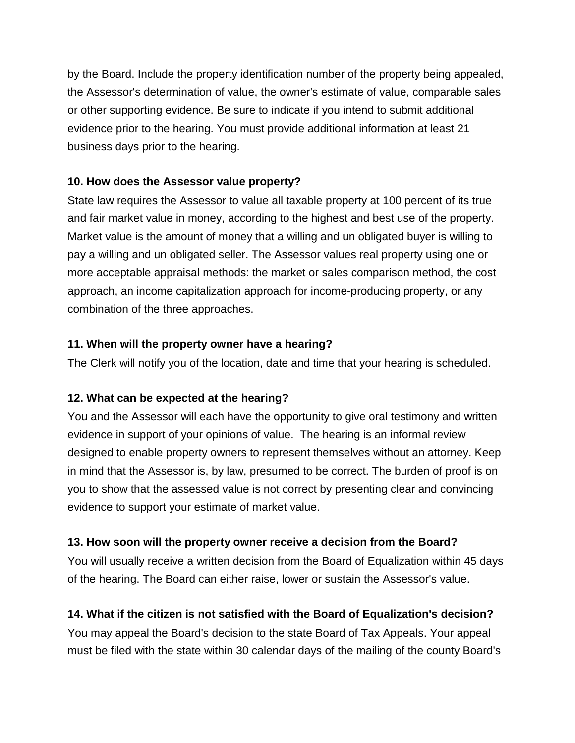by the Board. Include the property identification number of the property being appealed, the Assessor's determination of value, the owner's estimate of value, comparable sales or other supporting evidence. Be sure to indicate if you intend to submit additional evidence prior to the hearing. You must provide additional information at least 21 business days prior to the hearing.

#### <span id="page-3-0"></span>**10. How does the Assessor value property?**

State law requires the Assessor to value all taxable property at 100 percent of its true and fair market value in money, according to the highest and best use of the property. Market value is the amount of money that a willing and un obligated buyer is willing to pay a willing and un obligated seller. The Assessor values real property using one or more acceptable appraisal methods: the market or sales comparison method, the cost approach, an income capitalization approach for income-producing property, or any combination of the three approaches.

#### <span id="page-3-1"></span>**11. When will the property owner have a hearing?**

The Clerk will notify you of the location, date and time that your hearing is scheduled.

#### <span id="page-3-2"></span>**12. What can be expected at the hearing?**

You and the Assessor will each have the opportunity to give oral testimony and written evidence in support of your opinions of value. The hearing is an informal review designed to enable property owners to represent themselves without an attorney. Keep in mind that the Assessor is, by law, presumed to be correct. The burden of proof is on you to show that the assessed value is not correct by presenting clear and convincing evidence to support your estimate of market value.

### <span id="page-3-3"></span>**13. How soon will the property owner receive a decision from the Board?**

You will usually receive a written decision from the Board of Equalization within 45 days of the hearing. The Board can either raise, lower or sustain the Assessor's value.

### <span id="page-3-4"></span>**14. What if the citizen is not satisfied with the Board of Equalization's decision?**

You may appeal the Board's decision to the state Board of Tax Appeals. Your appeal must be filed with the state within 30 calendar days of the mailing of the county Board's